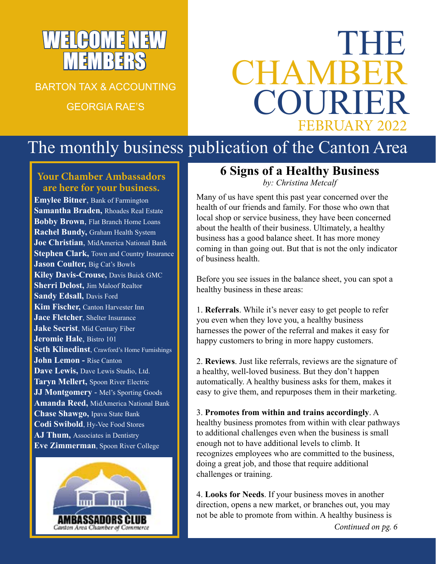# WELCOME NEW MEMBERS

BARTON TAX & ACCOUNTING GEORGIA RAE'S

# THE CHAMBE COURIE FEBRUARY 2022

# The monthly business publication of the Canton Area

#### **Your Chamber Ambassadors are here for your business.**

**Emylee Bitner**, Bank of Farmington **Samantha Braden,** Rhoades Real Estate **Bobby Brown**, Flat Branch Home Loans **Rachel Bundy,** Graham Health System **Joe Christian**, MidAmerica National Bank **Stephen Clark, Town and Country Insurance Jason Coulter,** Big Cat's Bowls **Kiley Davis-Crouse,** Davis Buick GMC **Sherri Delost,** Jim Maloof Realtor **Sandy Edsall,** Davis Ford **Kim Fischer,** Canton Harvester Inn **Jace Fletcher**, Shelter Insurance **Jake Secrist**, Mid Century Fiber **Jeromie Hale**, Bistro 101 **Seth Klinedinst**, Crawford's Home Furnishings **John Lemon -** Rise Canton **Dave Lewis,** Dave Lewis Studio, Ltd. **Taryn Mellert,** Spoon River Electric **JJ Montgomery** - Mel's Sporting Goods **Amanda Reed,** MidAmerica National Bank **Chase Shawgo,** Ipava State Bank **Codi Swibold**, Hy-Vee Food Stores **AJ Thum,** Associates in Dentistry **Eve Zimmerman**, Spoon River College



#### **6 Signs of a Healthy Business**

*by: Christina Metcalf*

Many of us have spent this past year concerned over the health of our friends and family. For those who own that local shop or service business, they have been concerned about the health of their business. Ultimately, a healthy business has a good balance sheet. It has more money coming in than going out. But that is not the only indicator of business health.

Before you see issues in the balance sheet, you can spot a healthy business in these areas:

1. **Referrals**. While it's never easy to get people to refer you even when they love you, a healthy business harnesses the power of the referral and makes it easy for happy customers to bring in more happy customers.

2. **Reviews**. Just like referrals, reviews are the signature of a healthy, well-loved business. But they don't happen automatically. A healthy business asks for them, makes it easy to give them, and repurposes them in their marketing.

3. **Promotes from within and trains accordingly**. A healthy business promotes from within with clear pathways to additional challenges even when the business is small enough not to have additional levels to climb. It recognizes employees who are committed to the business, doing a great job, and those that require additional challenges or training.

4. **Looks for Needs**. If your business moves in another direction, opens a new market, or branches out, you may not be able to promote from within. A healthy business is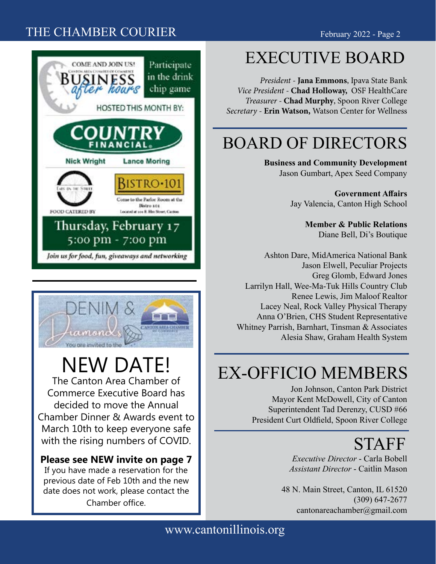#### THE CHAMBER COURIER February 2022 - Page 2





# NEW DATE!

The Canton Area Chamber of Commerce Executive Board has decided to move the Annual Chamber Dinner & Awards event to March 10th to keep everyone safe with the rising numbers of COVID.

#### **Please see NEW invite on page 7**

If you have made a reservation for the previous date of Feb 10th and the new date does not work, please contact the Chamber office.

# EXECUTIVE BOARD

*President -* **Jana Emmons**, Ipava State Bank *Vice President -* **Chad Holloway,** OSF HealthCare *Treasurer -* **Chad Murphy**, Spoon River College *Secretary -* **Erin Watson,** Watson Center for Wellness

## BOARD OF DIRECTORS

**Business and Community Development** Jason Gumbart, Apex Seed Company

> **Government Affairs** Jay Valencia, Canton High School

> > **Member & Public Relations** Diane Bell, Di's Boutique

Ashton Dare, MidAmerica National Bank Jason Elwell, Peculiar Projects Greg Glomb, Edward Jones Larrilyn Hall, Wee-Ma-Tuk Hills Country Club Renee Lewis, Jim Maloof Realtor Lacey Neal, Rock Valley Physical Therapy Anna O'Brien, CHS Student Representative Whitney Parrish, Barnhart, Tinsman & Associates Alesia Shaw, Graham Health System

## EX-OFFICIO MEMBERS

Jon Johnson, Canton Park District Mayor Kent McDowell, City of Canton Superintendent Tad Derenzy, CUSD #66 President Curt Oldfield, Spoon River College

# **STAFF**

*Executive Director* - Carla Bobell *Assistant Director* - Caitlin Mason

48 N. Main Street, Canton, IL 61520 (309) 647-2677 cantonareachamber@gmail.com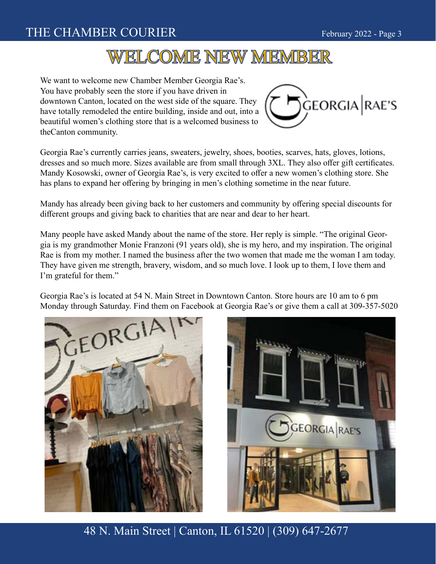#### THE CHAMBER COURIER February 2022 - Page 3

## WELCOME NEW MEMBER

We want to welcome new Chamber Member Georgia Rae's. You have probably seen the store if you have driven in downtown Canton, located on the west side of the square. They have totally remodeled the entire building, inside and out, into a beautiful women's clothing store that is a welcomed business to theCanton community.



Georgia Rae's currently carries jeans, sweaters, jewelry, shoes, booties, scarves, hats, gloves, lotions, dresses and so much more. Sizes available are from small through 3XL. They also offer gift certificates. Mandy Kosowski, owner of Georgia Rae's, is very excited to offer a new women's clothing store. She has plans to expand her offering by bringing in men's clothing sometime in the near future.

Mandy has already been giving back to her customers and community by offering special discounts for different groups and giving back to charities that are near and dear to her heart.

Many people have asked Mandy about the name of the store. Her reply is simple. "The original Georgia is my grandmother Monie Franzoni (91 years old), she is my hero, and my inspiration. The original Rae is from my mother. I named the business after the two women that made me the woman I am today. They have given me strength, bravery, wisdom, and so much love. I look up to them, I love them and I'm grateful for them."

Georgia Rae's is located at 54 N. Main Street in Downtown Canton. Store hours are 10 am to 6 pm Monday through Saturday. Find them on Facebook at Georgia Rae's or give them a call at 309-357-5020



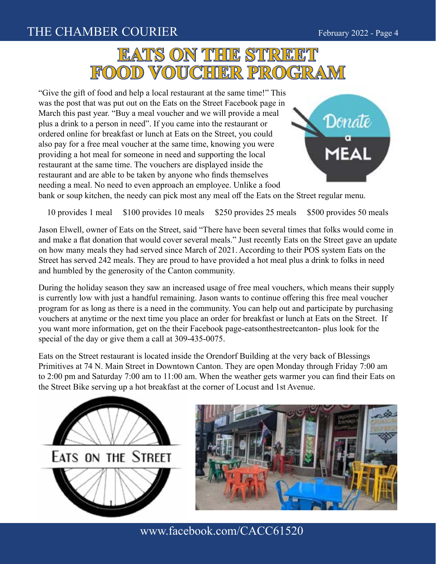#### THE CHAMBER COURIER THE SERVICE 2022 - Page 4



"Give the gift of food and help a local restaurant at the same time!" This was the post that was put out on the Eats on the Street Facebook page in March this past year. "Buy a meal voucher and we will provide a meal plus a drink to a person in need". If you came into the restaurant or ordered online for breakfast or lunch at Eats on the Street, you could also pay for a free meal voucher at the same time, knowing you were providing a hot meal for someone in need and supporting the local restaurant at the same time. The vouchers are displayed inside the restaurant and are able to be taken by anyone who finds themselves needing a meal. No need to even approach an employee. Unlike a food



bank or soup kitchen, the needy can pick most any meal off the Eats on the Street regular menu.

10 provides 1 meal \$100 provides 10 meals \$250 provides 25 meals \$500 provides 50 meals

Jason Elwell, owner of Eats on the Street, said "There have been several times that folks would come in and make a flat donation that would cover several meals." Just recently Eats on the Street gave an update on how many meals they had served since March of 2021. According to their POS system Eats on the Street has served 242 meals. They are proud to have provided a hot meal plus a drink to folks in need and humbled by the generosity of the Canton community.

During the holiday season they saw an increased usage of free meal vouchers, which means their supply is currently low with just a handful remaining. Jason wants to continue offering this free meal voucher program for as long as there is a need in the community. You can help out and participate by purchasing vouchers at anytime or the next time you place an order for breakfast or lunch at Eats on the Street. If you want more information, get on the their Facebook page-eatsonthestreetcanton- plus look for the special of the day or give them a call at 309-435-0075.

Eats on the Street restaurant is located inside the Orendorf Building at the very back of Blessings Primitives at 74 N. Main Street in Downtown Canton. They are open Monday through Friday 7:00 am to 2:00 pm and Saturday 7:00 am to 11:00 am. When the weather gets warmer you can find their Eats on the Street Bike serving up a hot breakfast at the corner of Locust and 1st Avenue.





www.facebook.com/CACC61520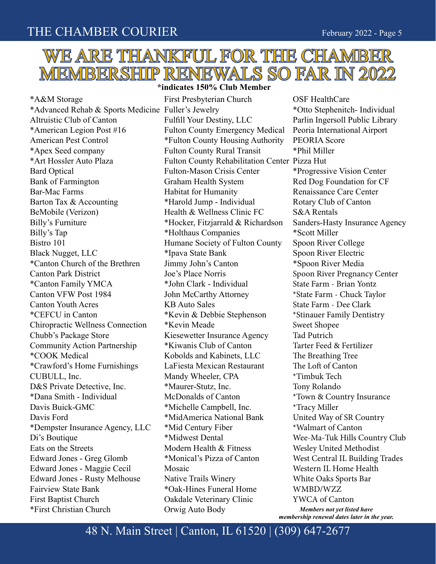## WE ARE THANKFUL FOR THE CHAMBER MEMBERSHIP RENEWALS SO FAR IN 2022

**\*indicates 150% Club Member**

\*A&M Storage \*Advanced Rehab & Sports Medicine Fuller's Jewelry Altruistic Club of Canton \*American Legion Post #16 American Pest Control \*Apex Seed company \*Art Hossler Auto Plaza Bard Optical Bank of Farmington Bar-Mac Farms Barton Tax & Accounting BeMobile (Verizon) Billy's Furniture Billy's Tap Bistro 101 Black Nugget, LLC \*Canton Church of the Brethren Canton Park District \*Canton Family YMCA Canton VFW Post 1984 Canton Youth Acres \*CEFCU in Canton Chiropractic Wellness Connection Chubb's Package Store Community Action Partnership \*COOK Medical \*Crawford's Home Furnishings CUBULL, Inc. D&S Private Detective, Inc. \*Dana Smith - Individual Davis Buick-GMC Davis Ford \*Dempster Insurance Agency, LLC Di's Boutique Eats on the Streets Edward Jones - Greg Glomb Edward Jones - Maggie Cecil Edward Jones - Rusty Melhouse Fairview State Bank First Baptist Church \*First Christian Church

First Presbyterian Church Fulfill Your Destiny, LLC Fulton County Emergency Medical \*Fulton County Housing Authority Fulton County Rural Transit Fulton County Rehabilitation Center Pizza Hut Fulton-Mason Crisis Center Graham Health System Habitat for Humanity \*Harold Jump - Individual Health & Wellness Clinic FC \*Hocker, Fitzjarrald & Richardson \*Holthaus Companies Humane Society of Fulton County \*Ipava State Bank Jimmy John's Canton Joe's Place Norris \*John Clark - Individual John McCarthy Attorney KB Auto Sales \*Kevin & Debbie Stephenson \*Kevin Meade Kiesewetter Insurance Agency \*Kiwanis Club of Canton Kobolds and Kabinets, LLC LaFiesta Mexican Restaurant Mandy Wheeler, CPA \*Maurer-Stutz, Inc. McDonalds of Canton \*Michelle Campbell, Inc. \*MidAmerica National Bank \*Mid Century Fiber \*Midwest Dental Modern Health & Fitness \*Monical's Pizza of Canton Mosaic Native Trails Winery \*Oak-Hines Funeral Home Oakdale Veterinary Clinic Orwig Auto Body

OSF HealthCare \*Otto Stephenitch- Individual Parlin Ingersoll Public Library Peoria International Airport PEORIA Score \*Phil Miller \*Progressive Vision Center Red Dog Foundation for CF Renaissance Care Center Rotary Club of Canton S&A Rentals Sanders-Hasty Insurance Agency \*Scott Miller Spoon River College Spoon River Electric \*Spoon River Media Spoon River Pregnancy Center State Farm - Brian Yontz \*State Farm - Chuck Taylor State Farm - Dee Clark \*Stinauer Family Dentistry Sweet Shopee Tad Putrich Tarter Feed & Fertilizer The Breathing Tree The Loft of Canton \*Timbuk Tech Tony Rolando \*Town & Country Insurance \*Tracy Miller United Way of SR Country \*Walmart of Canton Wee-Ma-Tuk Hills Country Club Wesley United Methodist West Central IL Building Trades Western IL Home Health White Oaks Sports Bar WMBD/WZZ YWCA of Canton *Members not yet listed have membership renewal dates later in the year.*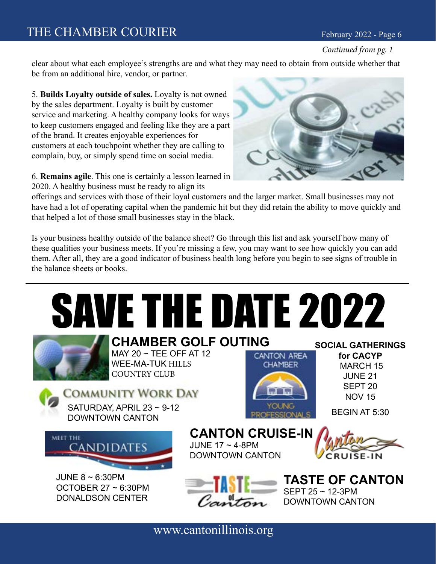#### *Continued from pg. 1*

clear about what each employee's strengths are and what they may need to obtain from outside whether that be from an additional hire, vendor, or partner.

5. **Builds Loyalty outside of sales.** Loyalty is not owned by the sales department. Loyalty is built by customer service and marketing. A healthy company looks for ways to keep customers engaged and feeling like they are a part of the brand. It creates enjoyable experiences for customers at each touchpoint whether they are calling to complain, buy, or simply spend time on social media.

6. **Remains agile**. This one is certainly a lesson learned in 2020. A healthy business must be ready to align its



offerings and services with those of their loyal customers and the larger market. Small businesses may not have had a lot of operating capital when the pandemic hit but they did retain the ability to move quickly and that helped a lot of those small businesses stay in the black.

Is your business healthy outside of the balance sheet? Go through this list and ask yourself how many of these qualities your business meets. If you're missing a few, you may want to see how quickly you can add them. After all, they are a good indicator of business health long before you begin to see signs of trouble in the balance sheets or books.

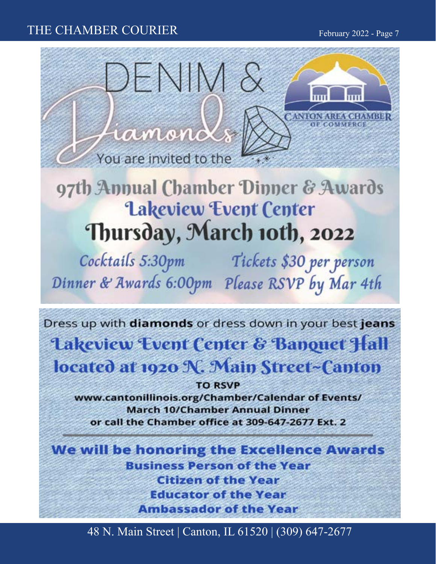#### THE CHAMBER COURIER THE SERVICE SERVICE RANGER February 2022 - Page 7



# 97th Annual Chamber Dinner & Awards **Lakeview Event Center** Thursday, March 10th, 2022

Cocktails 5:30pm Tickets \$30 per person Dinner & Awards 6:00pm Please RSVP by Mar 4th

Dress up with diamonds or dress down in your best jeans **Lakeview Event Center & Banquet Hall** located at 1920 N. Main Street-Canton

**TO RSVP** www.cantonillinois.org/Chamber/Calendar of Events/ **March 10/Chamber Annual Dinner** or call the Chamber office at 309-647-2677 Ext. 2

We will be honoring the Excellence Awards **Business Person of the Year Citizen of the Year Educator of the Year Ambassador of the Year**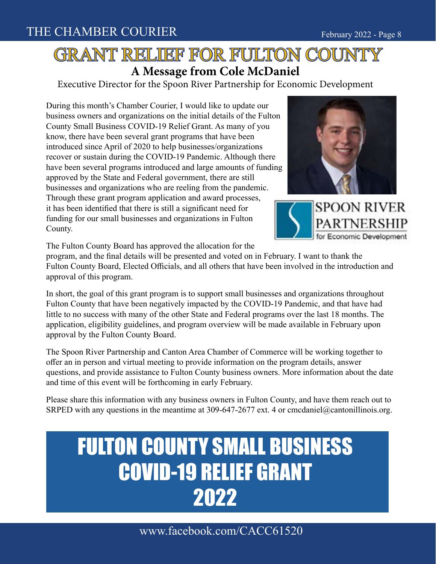### GRANT RELIEF FOR FULTON COUNTY **A Message from Cole McDaniel**

Executive Director for the Spoon River Partnership for Economic Development

During this month's Chamber Courier, I would like to update our business owners and organizations on the initial details of the Fulton County Small Business COVID-19 Relief Grant. As many of you know, there have been several grant programs that have been introduced since April of 2020 to help businesses/organizations recover or sustain during the COVID-19 Pandemic. Although there have been several programs introduced and large amounts of funding approved by the State and Federal government, there are still businesses and organizations who are reeling from the pandemic. Through these grant program application and award processes, it has been identified that there is still a significant need for funding for our small businesses and organizations in Fulton County.





The Fulton County Board has approved the allocation for the

program, and the final details will be presented and voted on in February. I want to thank the Fulton County Board, Elected Officials, and all others that have been involved in the introduction and approval of this program.

In short, the goal of this grant program is to support small businesses and organizations throughout Fulton County that have been negatively impacted by the COVID-19 Pandemic, and that have had little to no success with many of the other State and Federal programs over the last 18 months. The application, eligibility guidelines, and program overview will be made available in February upon approval by the Fulton County Board.

The Spoon River Partnership and Canton Area Chamber of Commerce will be working together to offer an in person and virtual meeting to provide information on the program details, answer questions, and provide assistance to Fulton County business owners. More information about the date and time of this event will be forthcoming in early February.

Please share this information with any business owners in Fulton County, and have them reach out to SRPED with any questions in the meantime at 309-647-2677 ext. 4 or cmcdaniel@cantonillinois.org.

# FULTON COUNTY SMALL BUSINESS COVID-19 RELIEF GRANT 2022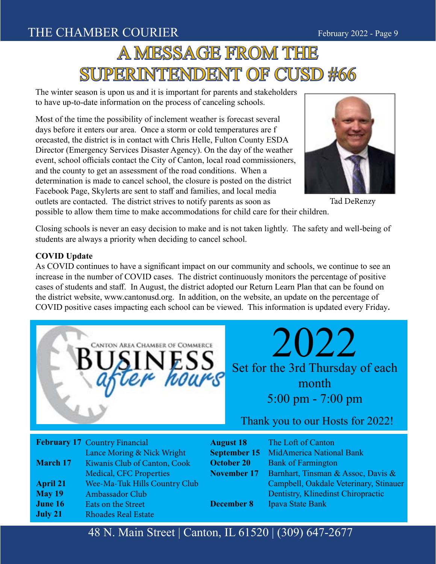#### THE CHAMBER COURIER THE SERVICE SERVICE AND THE CHAMBER COURIER

# A MESSAGE FROM THE SUPERINTENDENT OF CUSD #66

The winter season is upon us and it is important for parents and stakeholders to have up-to-date information on the process of canceling schools.

Most of the time the possibility of inclement weather is forecast several days before it enters our area. Once a storm or cold temperatures are f orecasted, the district is in contact with Chris Helle, Fulton County ESDA Director (Emergency Services Disaster Agency). On the day of the weather event, school officials contact the City of Canton, local road commissioners, and the county to get an assessment of the road conditions. When a determination is made to cancel school, the closure is posted on the district Facebook Page, Skylerts are sent to staff and families, and local media outlets are contacted. The district strives to notify parents as soon as



Tad DeRenzy

possible to allow them time to make accommodations for child care for their children.

Closing schools is never an easy decision to make and is not taken lightly. The safety and well-being of students are always a priority when deciding to cancel school.

#### **COVID Update**

As COVID continues to have a significant impact on our community and schools, we continue to see an increase in the number of COVID cases. The district continuously monitors the percentage of positive cases of students and staff. In August, the district adopted our Return Learn Plan that can be found on the district website, www.cantonusd.org. In addition, on the website, an update on the percentage of COVID positive cases impacting each school can be viewed. This information is updated every Friday**.**



Thank you to our Hosts for 2022!

|                 | <b>February 17 Country Financial</b> | <b>August 18</b>   | The Loft of Canton                     |
|-----------------|--------------------------------------|--------------------|----------------------------------------|
|                 | Lance Moring & Nick Wright           |                    | September 15 MidAmerica National Bank  |
| <b>March 17</b> | Kiwanis Club of Canton, Cook         | October 20         | <b>Bank of Farmington</b>              |
|                 | Medical, CFC Properties              | <b>November 17</b> | Barnhart, Tinsman & Assoc, Davis &     |
| <b>April 21</b> | Wee-Ma-Tuk Hills Country Club        |                    | Campbell, Oakdale Veterinary, Stinauer |
| <b>May 19</b>   | Ambassador Club                      |                    | Dentistry, Klinedinst Chiropractic     |
| June 16         | Eats on the Street                   | <b>December 8</b>  | Ipava State Bank                       |
| July 21         | <b>Rhoades Real Estate</b>           |                    |                                        |